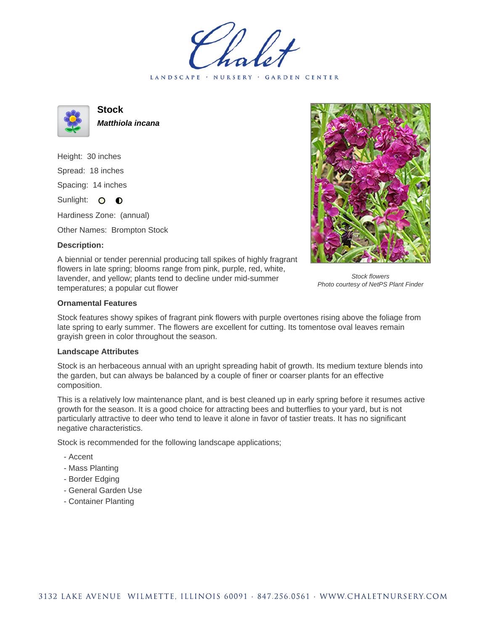LANDSCAPE · NURSERY · GARDEN CENTER



**Stock Matthiola incana**

Height: 30 inches Spread: 18 inches Spacing: 14 inches Sunlight: O **O** 

Hardiness Zone: (annual)

Other Names: Brompton Stock

## **Description:**



Stock flowers Photo courtesy of NetPS Plant Finder

A biennial or tender perennial producing tall spikes of highly fragrant flowers in late spring; blooms range from pink, purple, red, white, lavender, and yellow; plants tend to decline under mid-summer temperatures; a popular cut flower

## **Ornamental Features**

Stock features showy spikes of fragrant pink flowers with purple overtones rising above the foliage from late spring to early summer. The flowers are excellent for cutting. Its tomentose oval leaves remain grayish green in color throughout the season.

## **Landscape Attributes**

Stock is an herbaceous annual with an upright spreading habit of growth. Its medium texture blends into the garden, but can always be balanced by a couple of finer or coarser plants for an effective composition.

This is a relatively low maintenance plant, and is best cleaned up in early spring before it resumes active growth for the season. It is a good choice for attracting bees and butterflies to your yard, but is not particularly attractive to deer who tend to leave it alone in favor of tastier treats. It has no significant negative characteristics.

Stock is recommended for the following landscape applications;

- Accent
- Mass Planting
- Border Edging
- General Garden Use
- Container Planting